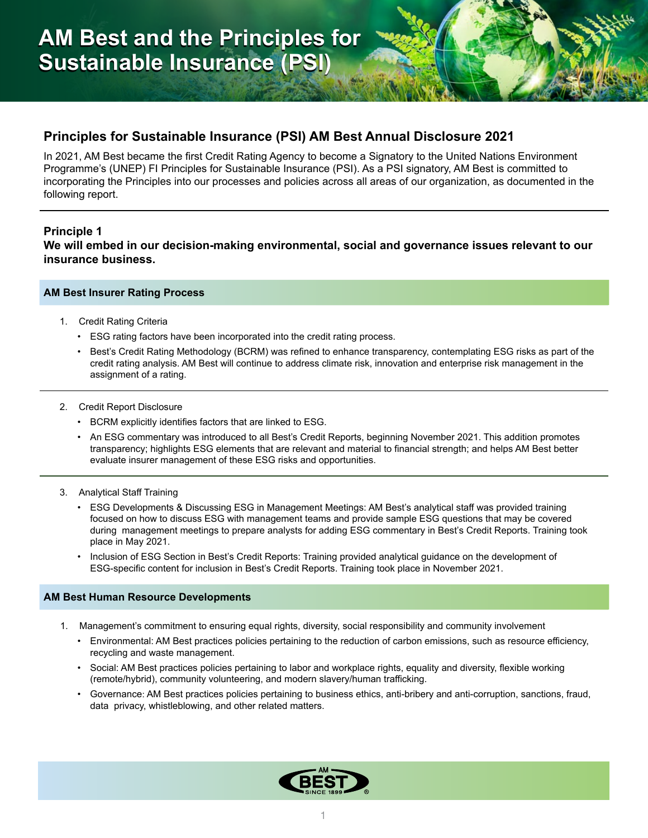# **Principles for Sustainable Insurance (PSI) AM Best Annual Disclosure 2021**

In 2021, AM Best became the first Credit Rating Agency to become a Signatory to the United Nations Environment Programme's (UNEP) FI Principles for Sustainable Insurance (PSI). As a PSI signatory, AM Best is committed to incorporating the Principles into our processes and policies across all areas of our organization, as documented in the following report.

### **Principle 1**

**We will embed in our decision-making environmental, social and governance issues relevant to our insurance business.**

### **AM Best Insurer Rating Process**

- 1. Credit Rating Criteria
	- ESG rating factors have been incorporated into the credit rating process.
	- Best's Credit Rating Methodology (BCRM) was refined to enhance transparency, contemplating ESG risks as part of the credit rating analysis. AM Best will continue to address climate risk, innovation and enterprise risk management in the assignment of a rating.
- 2. Credit Report Disclosure
	- BCRM explicitly identifies factors that are linked to ESG.
	- An ESG commentary was introduced to all Best's Credit Reports, beginning November 2021. This addition promotes transparency; highlights ESG elements that are relevant and material to financial strength; and helps AM Best better evaluate insurer management of these ESG risks and opportunities.
- 3. Analytical Staff Training
	- ESG Developments & Discussing ESG in Management Meetings: AM Best's analytical staff was provided training focused on how to discuss ESG with management teams and provide sample ESG questions that may be covered during management meetings to prepare analysts for adding ESG commentary in Best's Credit Reports. Training took place in May 2021.
	- Inclusion of ESG Section in Best's Credit Reports: Training provided analytical guidance on the development of ESG-specific content for inclusion in Best's Credit Reports. Training took place in November 2021.

### **AM Best Human Resource Developments**

- 1. Management's commitment to ensuring equal rights, diversity, social responsibility and community involvement
	- Environmental: AM Best practices policies pertaining to the reduction of carbon emissions, such as resource efficiency, recycling and waste management.
	- Social: AM Best practices policies pertaining to labor and workplace rights, equality and diversity, flexible working (remote/hybrid), community volunteering, and modern slavery/human trafficking.
	- Governance: AM Best practices policies pertaining to business ethics, anti-bribery and anti-corruption, sanctions, fraud, data privacy, whistleblowing, and other related matters.

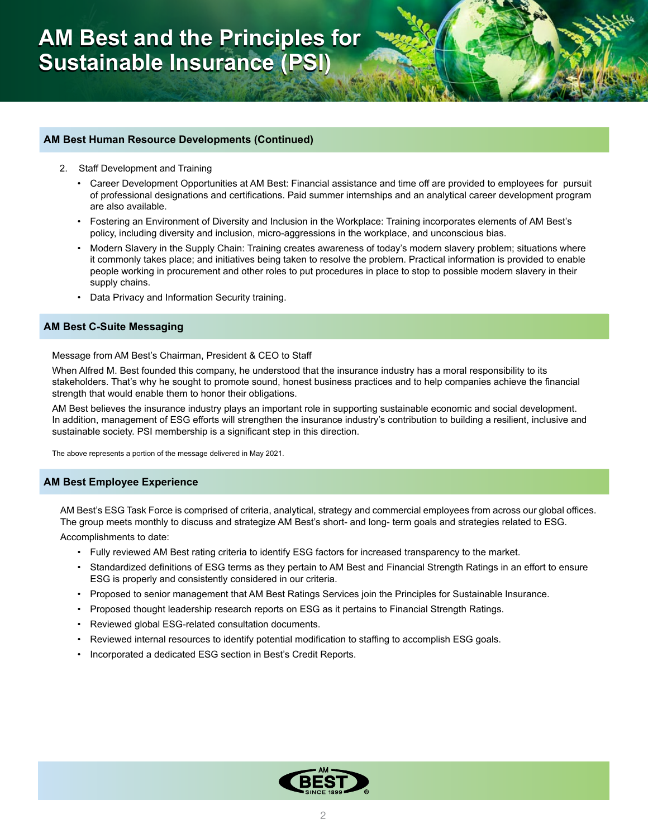### **AM Best Human Resource Developments (Continued)**

- 2. Staff Development and Training
	- Career Development Opportunities at AM Best: Financial assistance and time off are provided to employees for pursuit of professional designations and certifications. Paid summer internships and an analytical career development program are also available.
	- Fostering an Environment of Diversity and Inclusion in the Workplace: Training incorporates elements of AM Best's policy, including diversity and inclusion, micro-aggressions in the workplace, and unconscious bias.
	- Modern Slavery in the Supply Chain: Training creates awareness of today's modern slavery problem; situations where it commonly takes place; and initiatives being taken to resolve the problem. Practical information is provided to enable people working in procurement and other roles to put procedures in place to stop to possible modern slavery in their supply chains.
	- Data Privacy and Information Security training.

### **AM Best C-Suite Messaging**

#### Message from AM Best's Chairman, President & CEO to Staff

When Alfred M. Best founded this company, he understood that the insurance industry has a moral responsibility to its stakeholders. That's why he sought to promote sound, honest business practices and to help companies achieve the financial strength that would enable them to honor their obligations.

AM Best believes the insurance industry plays an important role in supporting sustainable economic and social development. In addition, management of ESG efforts will strengthen the insurance industry's contribution to building a resilient, inclusive and sustainable society. PSI membership is a significant step in this direction.

The above represents a portion of the message delivered in May 2021.

#### **AM Best Employee Experience**

AM Best's ESG Task Force is comprised of criteria, analytical, strategy and commercial employees from across our global offices. The group meets monthly to discuss and strategize AM Best's short- and long- term goals and strategies related to ESG.

Accomplishments to date:

- Fully reviewed AM Best rating criteria to identify ESG factors for increased transparency to the market.
- Standardized definitions of ESG terms as they pertain to AM Best and Financial Strength Ratings in an effort to ensure ESG is properly and consistently considered in our criteria.
- Proposed to senior management that AM Best Ratings Services join the Principles for Sustainable Insurance.
- Proposed thought leadership research reports on ESG as it pertains to Financial Strength Ratings.
- Reviewed global ESG-related consultation documents.
- Reviewed internal resources to identify potential modification to staffing to accomplish ESG goals.
- Incorporated a dedicated ESG section in Best's Credit Reports.

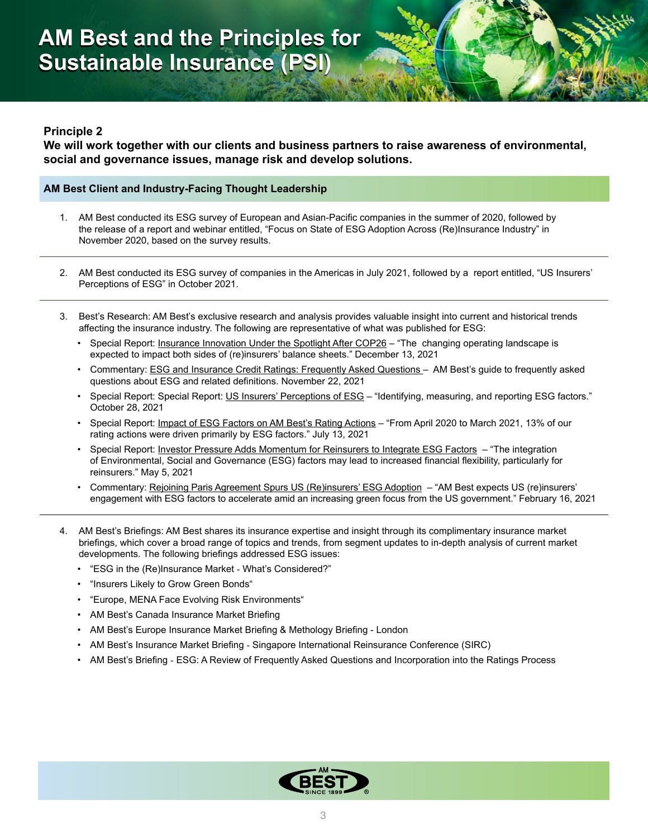# **Principle 2**

**We will work together with our clients and business partners to raise awareness of environmental, social and governance issues, manage risk and develop solutions.**

### **AM Best Client and Industry-Facing Thought Leadership**

- 1. AM Best conducted its ESG survey of European and Asian-Pacific companies in the summer of 2020, followed by the release of a report and webinar entitled, "Focus on State of ESG Adoption Across (Re)Insurance Industry" in November 2020, based on the survey results.
- 2. AM Best conducted its ESG survey of companies in the Americas in July 2021, followed by a report entitled, "US Insurers' Perceptions of ESG" in October 2021.
- 3. Best's Research: AM Best's exclusive research and analysis provides valuable insight into current and historical trends affecting the insurance industry. The following are representative of what was published for ESG:
	- Special Report: Insurance Innovation Under the Spotlight After COP26 "The changing operating landscape is expected to impact both sides of (re)insurers' balance sheets." December 13, 2021
	- Commentary: ESG and Insurance Credit Ratings: Frequently Asked Questions AM Best's guide to frequently asked questions about ESG and related definitions. November 22, 2021
	- Special Report: Special Report: US Insurers' Perceptions of ESG "Identifying, measuring, and reporting ESG factors." October 28, 2021
	- Special Report: <u>Impact of ESG Factors on AM Best's Rating Actions</u> "From April 2020 to March 2021, 13% of our rating actions were driven primarily by ESG factors." July 13, 2021
	- Special Report: Investor Pressure Adds Momentum for Reinsurers to Integrate ESG Factors "The integration of Environmental, Social and Governance (ESG) factors may lead to increased financial flexibility, particularly for reinsurers." May 5, 2021
	- Commentary: Rejoining Paris Agreement Spurs US (Re)insurers' ESG Adoption "AM Best expects US (re)insurers' engagement with ESG factors to accelerate amid an increasing green focus from the US government." February 16, 2021
- 4. AM Best's Briefings: AM Best shares its insurance expertise and insight through its complimentary insurance market briefings, which cover a broad range of topics and trends, from segment updates to in-depth analysis of current market developments. The following briefings addressed ESG issues:
	- "ESG in the (Re)Insurance Market What's Considered?"
	- "Insurers Likely to Grow Green Bonds"
	- "Europe, MENA Face Evolving Risk Environments"
	- AM Best's Canada Insurance Market Briefing
	- AM Best's Europe Insurance Market Briefing & Methology Briefing London
	- AM Best's Insurance Market Briefing Singapore International Reinsurance Conference (SIRC)
	- AM Best's Briefing ESG: A Review of Frequently Asked Questions and Incorporation into the Ratings Process

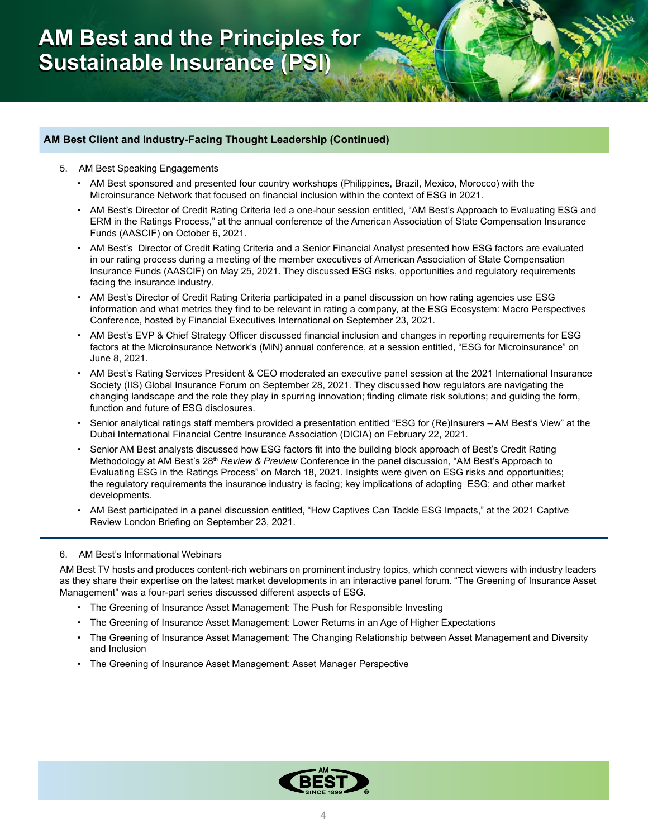### **AM Best Client and Industry-Facing Thought Leadership (Continued)**

- 5. AM Best Speaking Engagements
	- AM Best sponsored and presented four country workshops (Philippines, Brazil, Mexico, Morocco) with the Microinsurance Network that focused on financial inclusion within the context of ESG in 2021.
	- AM Best's Director of Credit Rating Criteria led a one-hour session entitled, "AM Best's Approach to Evaluating ESG and ERM in the Ratings Process," at the annual conference of the American Association of State Compensation Insurance Funds (AASCIF) on October 6, 2021.
	- AM Best's Director of Credit Rating Criteria and a Senior Financial Analyst presented how ESG factors are evaluated in our rating process during a meeting of the member executives of American Association of State Compensation Insurance Funds (AASCIF) on May 25, 2021. They discussed ESG risks, opportunities and regulatory requirements facing the insurance industry.
	- AM Best's Director of Credit Rating Criteria participated in a panel discussion on how rating agencies use ESG information and what metrics they find to be relevant in rating a company, at the ESG Ecosystem: Macro Perspectives Conference, hosted by Financial Executives International on September 23, 2021.
	- AM Best's EVP & Chief Strategy Officer discussed financial inclusion and changes in reporting requirements for ESG factors at the Microinsurance Network's (MiN) annual conference, at a session entitled, "ESG for Microinsurance" on June 8, 2021.
	- AM Best's Rating Services President & CEO moderated an executive panel session at the 2021 International Insurance Society (IIS) Global Insurance Forum on September 28, 2021. They discussed how regulators are navigating the changing landscape and the role they play in spurring innovation; finding climate risk solutions; and guiding the form, function and future of ESG disclosures.
	- Senior analytical ratings staff members provided a presentation entitled "ESG for (Re)Insurers AM Best's View" at the Dubai International Financial Centre Insurance Association (DICIA) on February 22, 2021.
	- Senior AM Best analysts discussed how ESG factors fit into the building block approach of Best's Credit Rating Methodology at AM Best's 28<sup>th</sup> *Review & Preview* Conference in the panel discussion, "AM Best's Approach to Evaluating ESG in the Ratings Process" on March 18, 2021. Insights were given on ESG risks and opportunities; the regulatory requirements the insurance industry is facing; key implications of adopting ESG; and other market developments.
	- AM Best participated in a panel discussion entitled, "How Captives Can Tackle ESG Impacts," at the 2021 Captive Review London Briefing on September 23, 2021.

#### 6. AM Best's Informational Webinars

AM Best TV hosts and produces content-rich webinars on prominent industry topics, which connect viewers with industry leaders as they share their expertise on the latest market developments in an interactive panel forum. "The Greening of Insurance Asset Management" was a four-part series discussed different aspects of ESG.

- The Greening of Insurance Asset Management: The Push for Responsible Investing
- The Greening of Insurance Asset Management: Lower Returns in an Age of Higher Expectations
- The Greening of Insurance Asset Management: The Changing Relationship between Asset Management and Diversity and Inclusion
- The Greening of Insurance Asset Management: Asset Manager Perspective

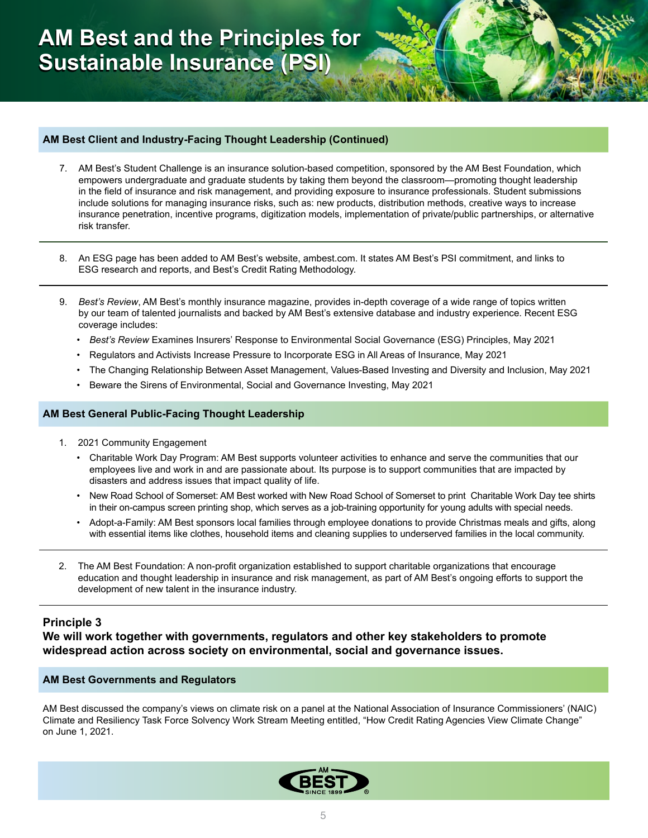### **AM Best Client and Industry-Facing Thought Leadership (Continued)**

- 7. AM Best's Student Challenge is an insurance solution-based competition, sponsored by the AM Best Foundation, which empowers undergraduate and graduate students by taking them beyond the classroom—promoting thought leadership in the field of insurance and risk management, and providing exposure to insurance professionals. Student submissions include solutions for managing insurance risks, such as: new products, distribution methods, creative ways to increase insurance penetration, incentive programs, digitization models, implementation of private/public partnerships, or alternative risk transfer.
- 8. An ESG page has been added to AM Best's website, ambest.com. It states AM Best's PSI commitment, and links to ESG research and reports, and Best's Credit Rating Methodology.
- 9. *Best's Review*, AM Best's monthly insurance magazine, provides in-depth coverage of a wide range of topics written by our team of talented journalists and backed by AM Best's extensive database and industry experience. Recent ESG coverage includes:
	- *• Best's Review* Examines Insurers' Response to Environmental Social Governance (ESG) Principles, May 2021
	- Regulators and Activists Increase Pressure to Incorporate ESG in All Areas of Insurance, May 2021
	- The Changing Relationship Between Asset Management, Values-Based Investing and Diversity and Inclusion, May 2021
	- Beware the Sirens of Environmental, Social and Governance Investing, May 2021

### **AM Best General Public-Facing Thought Leadership**

- 1. 2021 Community Engagement
	- Charitable Work Day Program: AM Best supports volunteer activities to enhance and serve the communities that our employees live and work in and are passionate about. Its purpose is to support communities that are impacted by disasters and address issues that impact quality of life.
	- New Road School of Somerset: AM Best worked with New Road School of Somerset to print Charitable Work Day tee shirts in their on-campus screen printing shop, which serves as a job-training opportunity for young adults with special needs.
	- Adopt-a-Family: AM Best sponsors local families through employee donations to provide Christmas meals and gifts, along with essential items like clothes, household items and cleaning supplies to underserved families in the local community.
- 2. The AM Best Foundation: A non-profit organization established to support charitable organizations that encourage education and thought leadership in insurance and risk management, as part of AM Best's ongoing efforts to support the development of new talent in the insurance industry.

# **Principle 3**

**We will work together with governments, regulators and other key stakeholders to promote widespread action across society on environmental, social and governance issues.**

#### **AM Best Governments and Regulators**

AM Best discussed the company's views on climate risk on a panel at the National Association of Insurance Commissioners' (NAIC) Climate and Resiliency Task Force Solvency Work Stream Meeting entitled, "How Credit Rating Agencies View Climate Change" on June 1, 2021.